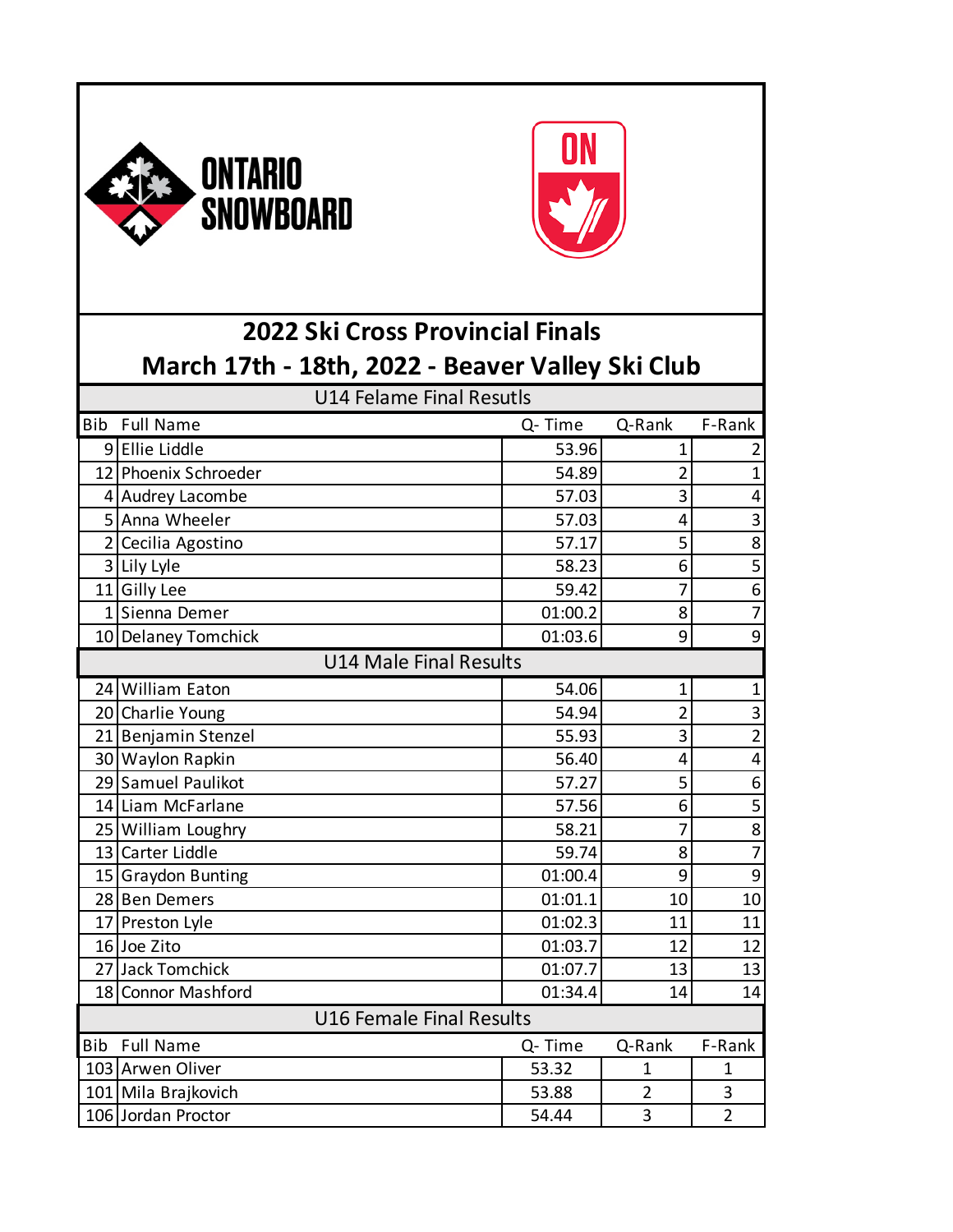



## **2022 Ski Cross Provincial Finals March 17th - 18th, 2022 - Beaver Valley Ski Club**

| <b>U14 Felame Final Resutls</b> |                      |         |                |                |  |  |
|---------------------------------|----------------------|---------|----------------|----------------|--|--|
| <b>Bib</b>                      | <b>Full Name</b>     | Q-Time  | Q-Rank         | F-Rank         |  |  |
|                                 | 9 Ellie Liddle       | 53.96   | $\mathbf 1$    | 2              |  |  |
|                                 | 12 Phoenix Schroeder | 54.89   | $\overline{2}$ | $\mathbf 1$    |  |  |
|                                 | 4 Audrey Lacombe     | 57.03   | 3              | 4              |  |  |
|                                 | 5 Anna Wheeler       | 57.03   | 4              | 3              |  |  |
|                                 | 2 Cecilia Agostino   | 57.17   | 5              | 8              |  |  |
|                                 | 3 Lily Lyle          | 58.23   | 6              | 5              |  |  |
|                                 | 11 Gilly Lee         | 59.42   | 7              | $\overline{6}$ |  |  |
|                                 | 1 Sienna Demer       | 01:00.2 | 8              | $\overline{7}$ |  |  |
|                                 | 10 Delaney Tomchick  | 01:03.6 | 9              | 9              |  |  |
| <b>U14 Male Final Results</b>   |                      |         |                |                |  |  |
|                                 | 24 William Eaton     | 54.06   | $\mathbf 1$    | $\mathbf 1$    |  |  |
|                                 | 20 Charlie Young     | 54.94   | $\overline{2}$ | 3              |  |  |
|                                 | 21 Benjamin Stenzel  | 55.93   | 3              | $\overline{2}$ |  |  |
|                                 | 30 Waylon Rapkin     | 56.40   | 4              | 4              |  |  |
|                                 | 29 Samuel Paulikot   | 57.27   | 5              | 6              |  |  |
|                                 | 14 Liam McFarlane    | 57.56   | 6              | 5              |  |  |
|                                 | 25 William Loughry   | 58.21   | 7              | $\overline{8}$ |  |  |
|                                 | 13 Carter Liddle     | 59.74   | 8              | $\overline{7}$ |  |  |
|                                 | 15 Graydon Bunting   | 01:00.4 | 9              | $\overline{9}$ |  |  |
|                                 | 28 Ben Demers        | 01:01.1 | 10             | 10             |  |  |
|                                 | 17 Preston Lyle      | 01:02.3 | 11             | 11             |  |  |
|                                 | 16 Joe Zito          | 01:03.7 | 12             | 12             |  |  |
|                                 | 27 Jack Tomchick     | 01:07.7 | 13             | 13             |  |  |
|                                 | 18 Connor Mashford   | 01:34.4 | 14             | 14             |  |  |
| <b>U16 Female Final Results</b> |                      |         |                |                |  |  |
| <b>Bib</b>                      | <b>Full Name</b>     | Q-Time  | Q-Rank         | F-Rank         |  |  |
|                                 | 103 Arwen Oliver     | 53.32   | 1              | $\mathbf{1}$   |  |  |
|                                 | 101 Mila Brajkovich  | 53.88   | $\overline{2}$ | 3              |  |  |
|                                 | 106 Jordan Proctor   | 54.44   | 3              | $\overline{2}$ |  |  |